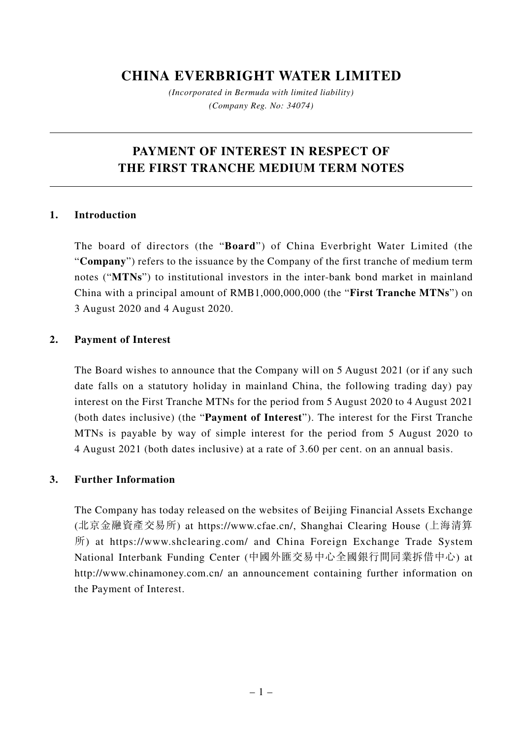## **CHINA EVERBRIGHT WATER LIMITED**

*(Incorporated in Bermuda with limited liability) (Company Reg. No: 34074)*

# **PAYMENT OF INTEREST IN RESPECT OF THE FIRST TRANCHE MEDIUM TERM NOTES**

### **1. Introduction**

The board of directors (the "**Board**") of China Everbright Water Limited (the "**Company**") refers to the issuance by the Company of the first tranche of medium term notes ("**MTNs**") to institutional investors in the inter-bank bond market in mainland China with a principal amount of RMB1,000,000,000 (the "**First Tranche MTNs**") on 3 August 2020 and 4 August 2020.

### **2. Payment of Interest**

The Board wishes to announce that the Company will on 5 August 2021 (or if any such date falls on a statutory holiday in mainland China, the following trading day) pay interest on the First Tranche MTNs for the period from 5 August 2020 to 4 August 2021 (both dates inclusive) (the "**Payment of Interest**"). The interest for the First Tranche MTNs is payable by way of simple interest for the period from 5 August 2020 to 4 August 2021 (both dates inclusive) at a rate of 3.60 per cent. on an annual basis.

#### **3. Further Information**

The Company has today released on the websites of Beijing Financial Assets Exchange (北京金融資產交易所) at https://www.cfae.cn/, Shanghai Clearing House (上海清算 所) at https://www.shclearing.com/ and China Foreign Exchange Trade System National Interbank Funding Center (中國外匯交易中心全國銀行間同業拆借中心) at http://www.chinamoney.com.cn/ an announcement containing further information on the Payment of Interest.